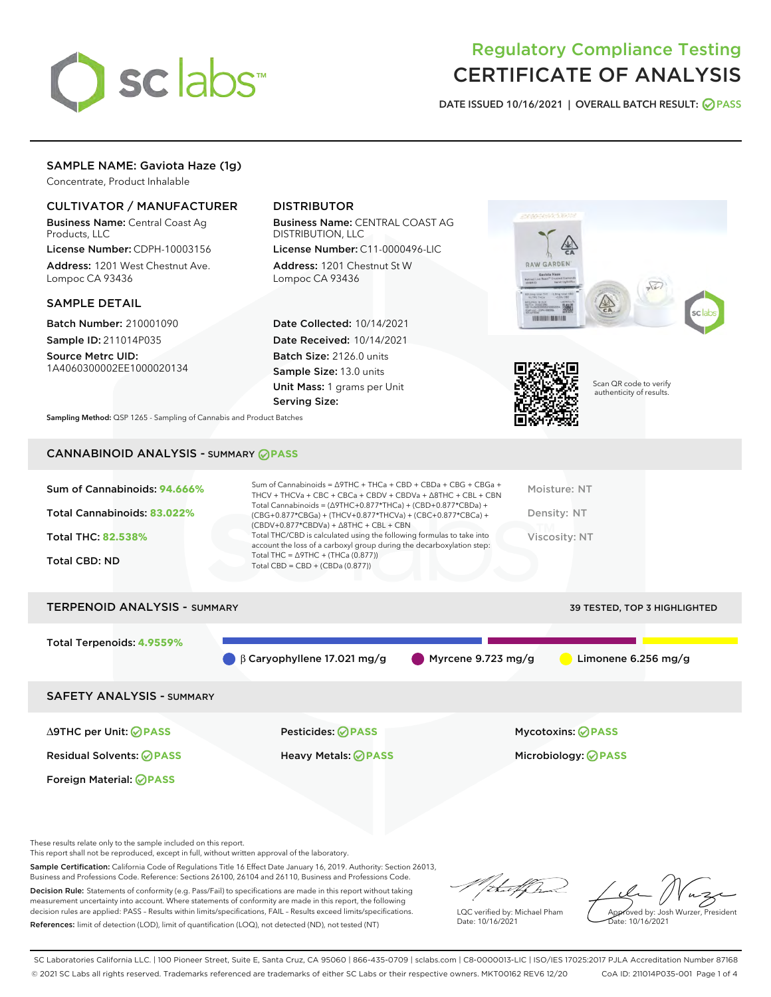

# Regulatory Compliance Testing CERTIFICATE OF ANALYSIS

DATE ISSUED 10/16/2021 | OVERALL BATCH RESULT: @ PASS

# SAMPLE NAME: Gaviota Haze (1g)

Concentrate, Product Inhalable

# CULTIVATOR / MANUFACTURER

Business Name: Central Coast Ag Products, LLC

License Number: CDPH-10003156 Address: 1201 West Chestnut Ave. Lompoc CA 93436

### SAMPLE DETAIL

Batch Number: 210001090 Sample ID: 211014P035

Source Metrc UID: 1A4060300002EE1000020134

# DISTRIBUTOR

Business Name: CENTRAL COAST AG DISTRIBUTION, LLC

License Number: C11-0000496-LIC Address: 1201 Chestnut St W Lompoc CA 93436

Date Collected: 10/14/2021 Date Received: 10/14/2021 Batch Size: 2126.0 units Sample Size: 13.0 units Unit Mass: 1 grams per Unit Serving Size:





Scan QR code to verify authenticity of results.

Sampling Method: QSP 1265 - Sampling of Cannabis and Product Batches

# CANNABINOID ANALYSIS - SUMMARY **PASS**

| Sum of Cannabinoids: 94.666% | Sum of Cannabinoids = $\triangle$ 9THC + THCa + CBD + CBDa + CBG + CBGa +<br>THCV + THCVa + CBC + CBCa + CBDV + CBDVa + $\triangle$ 8THC + CBL + CBN                                 | Moisture: NT  |
|------------------------------|--------------------------------------------------------------------------------------------------------------------------------------------------------------------------------------|---------------|
| Total Cannabinoids: 83.022%  | Total Cannabinoids = $(\Delta$ 9THC+0.877*THCa) + (CBD+0.877*CBDa) +<br>(CBG+0.877*CBGa) + (THCV+0.877*THCVa) + (CBC+0.877*CBCa) +<br>$(CBDV+0.877*CBDVa) + \Delta 8THC + CBL + CBN$ | Density: NT   |
| <b>Total THC: 82.538%</b>    | Total THC/CBD is calculated using the following formulas to take into<br>account the loss of a carboxyl group during the decarboxylation step:                                       | Viscosity: NT |
| <b>Total CBD: ND</b>         | Total THC = $\triangle$ 9THC + (THCa (0.877))<br>Total CBD = $CBD + (CBDa (0.877))$                                                                                                  |               |
|                              |                                                                                                                                                                                      |               |

# TERPENOID ANALYSIS - SUMMARY 39 TESTED, TOP 3 HIGHLIGHTED Total Terpenoids: **4.9559%** β Caryophyllene 17.021 mg/g Myrcene 9.723 mg/g Limonene 6.256 mg/g SAFETY ANALYSIS - SUMMARY

Foreign Material: **PASS**

∆9THC per Unit: **PASS** Pesticides: **PASS** Mycotoxins: **PASS**

Residual Solvents: **PASS** Heavy Metals: **PASS** Microbiology: **PASS**

These results relate only to the sample included on this report.

This report shall not be reproduced, except in full, without written approval of the laboratory.

Sample Certification: California Code of Regulations Title 16 Effect Date January 16, 2019. Authority: Section 26013, Business and Professions Code. Reference: Sections 26100, 26104 and 26110, Business and Professions Code. Decision Rule: Statements of conformity (e.g. Pass/Fail) to specifications are made in this report without taking

measurement uncertainty into account. Where statements of conformity are made in this report, the following decision rules are applied: PASS – Results within limits/specifications, FAIL – Results exceed limits/specifications. References: limit of detection (LOD), limit of quantification (LOQ), not detected (ND), not tested (NT)

that f

LQC verified by: Michael Pham Date: 10/16/2021

Approved by: Josh Wurzer, President ate: 10/16/2021

SC Laboratories California LLC. | 100 Pioneer Street, Suite E, Santa Cruz, CA 95060 | 866-435-0709 | sclabs.com | C8-0000013-LIC | ISO/IES 17025:2017 PJLA Accreditation Number 87168 © 2021 SC Labs all rights reserved. Trademarks referenced are trademarks of either SC Labs or their respective owners. MKT00162 REV6 12/20 CoA ID: 211014P035-001 Page 1 of 4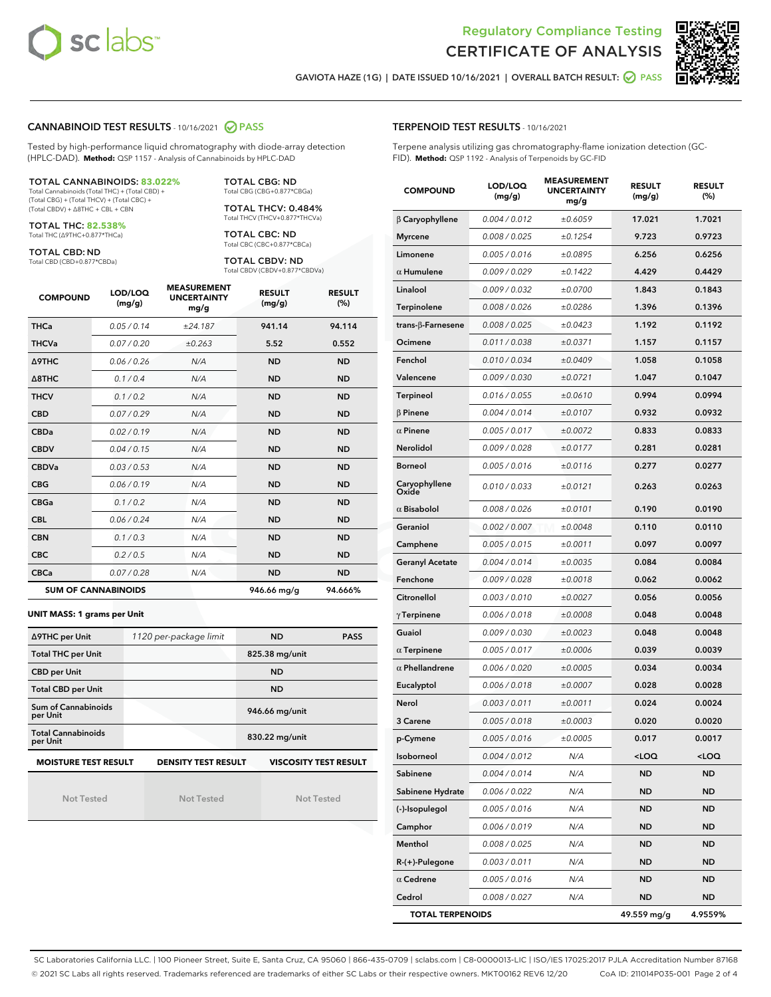



GAVIOTA HAZE (1G) | DATE ISSUED 10/16/2021 | OVERALL BATCH RESULT: @ PASS

#### CANNABINOID TEST RESULTS - 10/16/2021 2 PASS

Tested by high-performance liquid chromatography with diode-array detection (HPLC-DAD). **Method:** QSP 1157 - Analysis of Cannabinoids by HPLC-DAD

#### TOTAL CANNABINOIDS: **83.022%**

Total Cannabinoids (Total THC) + (Total CBD) + (Total CBG) + (Total THCV) + (Total CBC) + (Total CBDV) + ∆8THC + CBL + CBN

TOTAL THC: **82.538%** Total THC (∆9THC+0.877\*THCa)

TOTAL CBD: ND

Total CBD (CBD+0.877\*CBDa)

TOTAL CBG: ND Total CBG (CBG+0.877\*CBGa)

TOTAL THCV: 0.484% Total THCV (THCV+0.877\*THCVa)

TOTAL CBC: ND Total CBC (CBC+0.877\*CBCa)

TOTAL CBDV: ND Total CBDV (CBDV+0.877\*CBDVa)

| <b>COMPOUND</b>  | LOD/LOQ<br>(mg/g)          | <b>MEASUREMENT</b><br><b>UNCERTAINTY</b><br>mg/g | <b>RESULT</b><br>(mg/g) | <b>RESULT</b><br>(%) |
|------------------|----------------------------|--------------------------------------------------|-------------------------|----------------------|
| <b>THCa</b>      | 0.05/0.14                  | ±24.187                                          | 941.14                  | 94.114               |
| <b>THCVa</b>     | 0.07/0.20                  | ±0.263                                           | 5.52                    | 0.552                |
| <b>A9THC</b>     | 0.06 / 0.26                | N/A                                              | <b>ND</b>               | <b>ND</b>            |
| $\triangle$ 8THC | 0.1/0.4                    | N/A                                              | <b>ND</b>               | <b>ND</b>            |
| <b>THCV</b>      | 0.1/0.2                    | N/A                                              | <b>ND</b>               | <b>ND</b>            |
| <b>CBD</b>       | 0.07/0.29                  | N/A                                              | <b>ND</b>               | <b>ND</b>            |
| <b>CBDa</b>      | 0.02/0.19                  | N/A                                              | <b>ND</b>               | <b>ND</b>            |
| <b>CBDV</b>      | 0.04 / 0.15                | N/A                                              | <b>ND</b>               | <b>ND</b>            |
| <b>CBDVa</b>     | 0.03 / 0.53                | N/A                                              | <b>ND</b>               | <b>ND</b>            |
| <b>CBG</b>       | 0.06/0.19                  | N/A                                              | <b>ND</b>               | <b>ND</b>            |
| <b>CBGa</b>      | 0.1/0.2                    | N/A                                              | <b>ND</b>               | <b>ND</b>            |
| <b>CBL</b>       | 0.06 / 0.24                | N/A                                              | <b>ND</b>               | <b>ND</b>            |
| <b>CBN</b>       | 0.1/0.3                    | N/A                                              | <b>ND</b>               | <b>ND</b>            |
| <b>CBC</b>       | 0.2 / 0.5                  | N/A                                              | <b>ND</b>               | <b>ND</b>            |
| <b>CBCa</b>      | 0.07/0.28                  | N/A                                              | <b>ND</b>               | <b>ND</b>            |
|                  | <b>SUM OF CANNABINOIDS</b> |                                                  | 946.66 mg/g             | 94.666%              |

#### **UNIT MASS: 1 grams per Unit**

| ∆9THC per Unit                                                                            | 1120 per-package limit | <b>ND</b><br><b>PASS</b> |  |  |  |
|-------------------------------------------------------------------------------------------|------------------------|--------------------------|--|--|--|
| <b>Total THC per Unit</b>                                                                 |                        | 825.38 mg/unit           |  |  |  |
| <b>CBD</b> per Unit                                                                       |                        | <b>ND</b>                |  |  |  |
| <b>Total CBD per Unit</b>                                                                 |                        | <b>ND</b>                |  |  |  |
| Sum of Cannabinoids<br>per Unit                                                           |                        | 946.66 mg/unit           |  |  |  |
| <b>Total Cannabinoids</b><br>per Unit                                                     |                        | 830.22 mg/unit           |  |  |  |
| <b>MOISTURE TEST RESULT</b><br><b>DENSITY TEST RESULT</b><br><b>VISCOSITY TEST RESULT</b> |                        |                          |  |  |  |

Not Tested

Not Tested

Not Tested

| <b>TERPENOID TEST RESULTS - 10/16/2021</b> |  |
|--------------------------------------------|--|
|--------------------------------------------|--|

Terpene analysis utilizing gas chromatography-flame ionization detection (GC-FID). **Method:** QSP 1192 - Analysis of Terpenoids by GC-FID

| <b>COMPOUND</b>         | LOD/LOQ<br>(mg/g) | <b>MEASUREMENT</b><br><b>UNCERTAINTY</b><br>mg/g | <b>RESULT</b><br>(mg/g)                          | <b>RESULT</b><br>(%) |
|-------------------------|-------------------|--------------------------------------------------|--------------------------------------------------|----------------------|
| $\beta$ Caryophyllene   | 0.004 / 0.012     | ±0.6059                                          | 17.021                                           | 1.7021               |
| <b>Myrcene</b>          | 0.008 / 0.025     | ±0.1254                                          | 9.723                                            | 0.9723               |
| Limonene                | 0.005 / 0.016     | ±0.0895                                          | 6.256                                            | 0.6256               |
| $\alpha$ Humulene       | 0.009 / 0.029     | ±0.1422                                          | 4.429                                            | 0.4429               |
| Linalool                | 0.009 / 0.032     | ±0.0700                                          | 1.843                                            | 0.1843               |
| Terpinolene             | 0.008 / 0.026     | ±0.0286                                          | 1.396                                            | 0.1396               |
| trans-β-Farnesene       | 0.008 / 0.025     | ±0.0423                                          | 1.192                                            | 0.1192               |
| Ocimene                 | 0.011 / 0.038     | ±0.0371                                          | 1.157                                            | 0.1157               |
| Fenchol                 | 0.010 / 0.034     | ±0.0409                                          | 1.058                                            | 0.1058               |
| Valencene               | 0.009 / 0.030     | ±0.0721                                          | 1.047                                            | 0.1047               |
| <b>Terpineol</b>        | 0.016 / 0.055     | ±0.0610                                          | 0.994                                            | 0.0994               |
| $\beta$ Pinene          | 0.004 / 0.014     | ±0.0107                                          | 0.932                                            | 0.0932               |
| $\alpha$ Pinene         | 0.005 / 0.017     | ±0.0072                                          | 0.833                                            | 0.0833               |
| Nerolidol               | 0.009 / 0.028     | ±0.0177                                          | 0.281                                            | 0.0281               |
| <b>Borneol</b>          | 0.005 / 0.016     | ±0.0116                                          | 0.277                                            | 0.0277               |
| Caryophyllene<br>Oxide  | 0.010 / 0.033     | ±0.0121                                          | 0.263                                            | 0.0263               |
| $\alpha$ Bisabolol      | 0.008 / 0.026     | ±0.0101                                          | 0.190                                            | 0.0190               |
| Geraniol                | 0.002 / 0.007     | ±0.0048                                          | 0.110                                            | 0.0110               |
| Camphene                | 0.005 / 0.015     | ±0.0011                                          | 0.097                                            | 0.0097               |
| <b>Geranyl Acetate</b>  | 0.004 / 0.014     | ±0.0035                                          | 0.084                                            | 0.0084               |
| Fenchone                | 0.009 / 0.028     | ±0.0018                                          | 0.062                                            | 0.0062               |
| Citronellol             | 0.003 / 0.010     | ±0.0027                                          | 0.056                                            | 0.0056               |
| $\gamma$ Terpinene      | 0.006 / 0.018     | ±0.0008                                          | 0.048                                            | 0.0048               |
| Guaiol                  | 0.009 / 0.030     | ±0.0023                                          | 0.048                                            | 0.0048               |
| $\alpha$ Terpinene      | 0.005 / 0.017     | ±0.0006                                          | 0.039                                            | 0.0039               |
| $\alpha$ Phellandrene   | 0.006 / 0.020     | ±0.0005                                          | 0.034                                            | 0.0034               |
| Eucalyptol              | 0.006 / 0.018     | ±0.0007                                          | 0.028                                            | 0.0028               |
| Nerol                   | 0.003 / 0.011     | ±0.0011                                          | 0.024                                            | 0.0024               |
| 3 Carene                | 0.005 / 0.018     | ±0.0003                                          | 0.020                                            | 0.0020               |
| p-Cymene                | 0.005 / 0.016     | ±0.0005                                          | 0.017                                            | 0.0017               |
| Isoborneol              | 0.004 / 0.012     | N/A                                              | <loq< th=""><th><math>&lt;</math>LOQ</th></loq<> | $<$ LOQ              |
| Sabinene                | 0.004 / 0.014     | N/A                                              | <b>ND</b>                                        | <b>ND</b>            |
| Sabinene Hydrate        | 0.006 / 0.022     | N/A                                              | ND                                               | <b>ND</b>            |
| (-)-Isopulegol          | 0.005 / 0.016     | N/A                                              | ND                                               | <b>ND</b>            |
| Camphor                 | 0.006 / 0.019     | N/A                                              | ND                                               | ND                   |
| Menthol                 | 0.008 / 0.025     | N/A                                              | ND                                               | ND                   |
| R-(+)-Pulegone          | 0.003 / 0.011     | N/A                                              | ND                                               | <b>ND</b>            |
| $\alpha$ Cedrene        | 0.005 / 0.016     | N/A                                              | ND                                               | ND                   |
| Cedrol                  | 0.008 / 0.027     | N/A                                              | ND                                               | <b>ND</b>            |
| <b>TOTAL TERPENOIDS</b> |                   |                                                  | 49.559 mg/g                                      | 4.9559%              |

SC Laboratories California LLC. | 100 Pioneer Street, Suite E, Santa Cruz, CA 95060 | 866-435-0709 | sclabs.com | C8-0000013-LIC | ISO/IES 17025:2017 PJLA Accreditation Number 87168 © 2021 SC Labs all rights reserved. Trademarks referenced are trademarks of either SC Labs or their respective owners. MKT00162 REV6 12/20 CoA ID: 211014P035-001 Page 2 of 4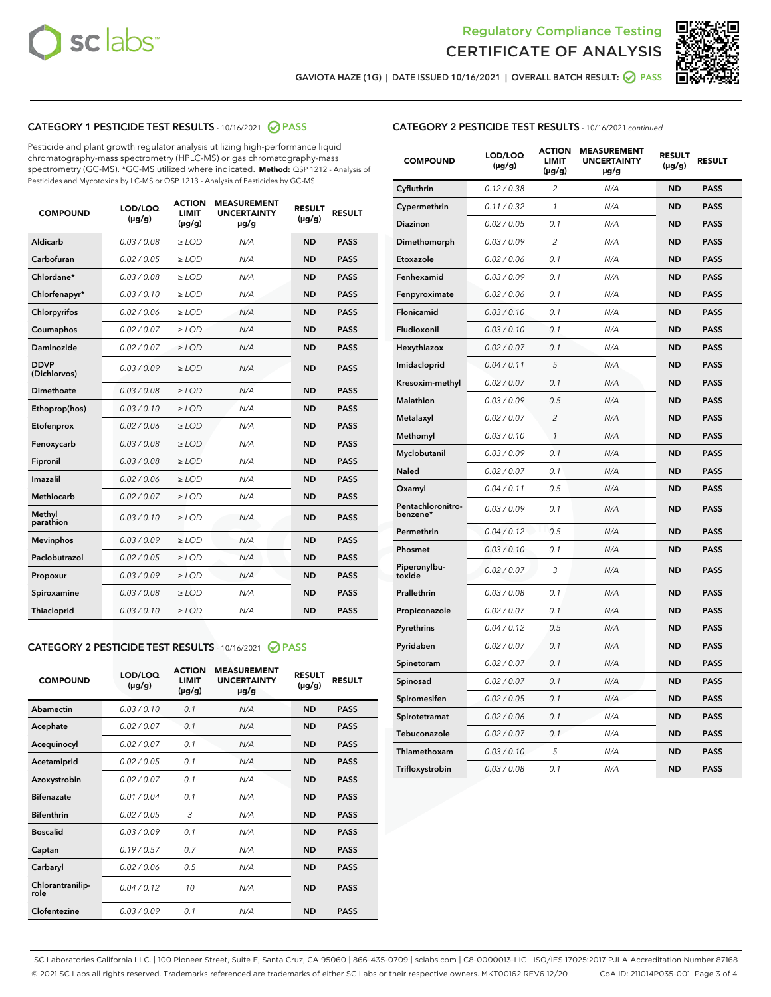



GAVIOTA HAZE (1G) | DATE ISSUED 10/16/2021 | OVERALL BATCH RESULT: 2 PASS

# CATEGORY 1 PESTICIDE TEST RESULTS - 10/16/2021 2 PASS

Pesticide and plant growth regulator analysis utilizing high-performance liquid chromatography-mass spectrometry (HPLC-MS) or gas chromatography-mass spectrometry (GC-MS). \*GC-MS utilized where indicated. **Method:** QSP 1212 - Analysis of Pesticides and Mycotoxins by LC-MS or QSP 1213 - Analysis of Pesticides by GC-MS

| <b>COMPOUND</b>             | LOD/LOQ<br>$(\mu g/g)$ | <b>ACTION</b><br><b>LIMIT</b><br>$(\mu g/g)$ | <b>MEASUREMENT</b><br><b>UNCERTAINTY</b><br>$\mu$ g/g | <b>RESULT</b><br>$(\mu g/g)$ | <b>RESULT</b> |
|-----------------------------|------------------------|----------------------------------------------|-------------------------------------------------------|------------------------------|---------------|
| Aldicarb                    | 0.03 / 0.08            | $\ge$ LOD                                    | N/A                                                   | <b>ND</b>                    | <b>PASS</b>   |
| Carbofuran                  | 0.02 / 0.05            | $\ge$ LOD                                    | N/A                                                   | <b>ND</b>                    | <b>PASS</b>   |
| Chlordane*                  | 0.03 / 0.08            | $\ge$ LOD                                    | N/A                                                   | <b>ND</b>                    | <b>PASS</b>   |
| Chlorfenapyr*               | 0.03/0.10              | $\ge$ LOD                                    | N/A                                                   | <b>ND</b>                    | <b>PASS</b>   |
| Chlorpyrifos                | 0.02 / 0.06            | $\ge$ LOD                                    | N/A                                                   | <b>ND</b>                    | <b>PASS</b>   |
| Coumaphos                   | 0.02 / 0.07            | $\ge$ LOD                                    | N/A                                                   | <b>ND</b>                    | <b>PASS</b>   |
| Daminozide                  | 0.02 / 0.07            | $\ge$ LOD                                    | N/A                                                   | <b>ND</b>                    | <b>PASS</b>   |
| <b>DDVP</b><br>(Dichlorvos) | 0.03/0.09              | $>$ LOD                                      | N/A                                                   | <b>ND</b>                    | <b>PASS</b>   |
| Dimethoate                  | 0.03/0.08              | $\ge$ LOD                                    | N/A                                                   | <b>ND</b>                    | <b>PASS</b>   |
| Ethoprop(hos)               | 0.03/0.10              | $>$ LOD                                      | N/A                                                   | <b>ND</b>                    | <b>PASS</b>   |
| Etofenprox                  | 0.02 / 0.06            | $\ge$ LOD                                    | N/A                                                   | <b>ND</b>                    | <b>PASS</b>   |
| Fenoxycarb                  | 0.03/0.08              | $\ge$ LOD                                    | N/A                                                   | <b>ND</b>                    | <b>PASS</b>   |
| Fipronil                    | 0.03/0.08              | $\ge$ LOD                                    | N/A                                                   | <b>ND</b>                    | <b>PASS</b>   |
| Imazalil                    | 0.02 / 0.06            | $>$ LOD                                      | N/A                                                   | <b>ND</b>                    | <b>PASS</b>   |
| <b>Methiocarb</b>           | 0.02 / 0.07            | $\ge$ LOD                                    | N/A                                                   | <b>ND</b>                    | <b>PASS</b>   |
| Methyl<br>parathion         | 0.03/0.10              | $\ge$ LOD                                    | N/A                                                   | <b>ND</b>                    | <b>PASS</b>   |
| <b>Mevinphos</b>            | 0.03/0.09              | $\ge$ LOD                                    | N/A                                                   | <b>ND</b>                    | <b>PASS</b>   |
| Paclobutrazol               | 0.02 / 0.05            | $>$ LOD                                      | N/A                                                   | <b>ND</b>                    | <b>PASS</b>   |
| Propoxur                    | 0.03/0.09              | $\ge$ LOD                                    | N/A                                                   | <b>ND</b>                    | <b>PASS</b>   |
| Spiroxamine                 | 0.03/0.08              | $\ge$ LOD                                    | N/A                                                   | <b>ND</b>                    | <b>PASS</b>   |
| Thiacloprid                 | 0.03/0.10              | $\ge$ LOD                                    | N/A                                                   | <b>ND</b>                    | <b>PASS</b>   |

#### CATEGORY 2 PESTICIDE TEST RESULTS - 10/16/2021 @ PASS

| <b>COMPOUND</b>          | LOD/LOO<br>$(\mu g/g)$ | <b>ACTION</b><br>LIMIT<br>$(\mu g/g)$ | <b>MEASUREMENT</b><br><b>UNCERTAINTY</b><br>µg/g | <b>RESULT</b><br>$(\mu g/g)$ | <b>RESULT</b> |  |
|--------------------------|------------------------|---------------------------------------|--------------------------------------------------|------------------------------|---------------|--|
| Abamectin                | 0.03/0.10              | 0.1                                   | N/A                                              | <b>ND</b>                    | <b>PASS</b>   |  |
| Acephate                 | 0.02/0.07              | 0.1                                   | N/A                                              | <b>ND</b>                    | <b>PASS</b>   |  |
| Acequinocyl              | 0.02/0.07              | 0.1                                   | N/A                                              | <b>ND</b>                    | <b>PASS</b>   |  |
| Acetamiprid              | 0.02 / 0.05            | 0.1                                   | N/A                                              | <b>ND</b>                    | <b>PASS</b>   |  |
| Azoxystrobin             | 0.02/0.07              | 0.1                                   | N/A                                              | <b>ND</b>                    | <b>PASS</b>   |  |
| <b>Bifenazate</b>        | 0.01 / 0.04            | 0.1                                   | N/A                                              | <b>ND</b>                    | <b>PASS</b>   |  |
| <b>Bifenthrin</b>        | 0.02 / 0.05            | 3                                     | N/A                                              | <b>ND</b>                    | <b>PASS</b>   |  |
| <b>Boscalid</b>          | 0.03/0.09              | 0.1                                   | N/A                                              | <b>ND</b>                    | <b>PASS</b>   |  |
| Captan                   | 0.19/0.57              | 0.7                                   | N/A                                              | <b>ND</b>                    | <b>PASS</b>   |  |
| Carbaryl                 | 0.02/0.06              | 0.5                                   | N/A                                              | <b>ND</b>                    | <b>PASS</b>   |  |
| Chlorantranilip-<br>role | 0.04/0.12              | 10                                    | N/A                                              | <b>ND</b>                    | <b>PASS</b>   |  |
| Clofentezine             | 0.03/0.09              | 0.1                                   | N/A                                              | <b>ND</b>                    | <b>PASS</b>   |  |

# CATEGORY 2 PESTICIDE TEST RESULTS - 10/16/2021 continued

| <b>COMPOUND</b>               | LOD/LOQ<br>$(\mu g/g)$ | <b>ACTION</b><br>LIMIT<br>$(\mu g/g)$ | <b>MEASUREMENT</b><br><b>UNCERTAINTY</b><br>µg/g | <b>RESULT</b><br>(µg/g) | <b>RESULT</b> |
|-------------------------------|------------------------|---------------------------------------|--------------------------------------------------|-------------------------|---------------|
| Cyfluthrin                    | 0.12 / 0.38            | 2                                     | N/A                                              | ND                      | <b>PASS</b>   |
| Cypermethrin                  | 0.11 / 0.32            | $\mathbf{1}$                          | N/A                                              | <b>ND</b>               | <b>PASS</b>   |
| <b>Diazinon</b>               | 0.02 / 0.05            | 0.1                                   | N/A                                              | ND                      | <b>PASS</b>   |
| Dimethomorph                  | 0.03 / 0.09            | 2                                     | N/A                                              | ND                      | <b>PASS</b>   |
| Etoxazole                     | 0.02 / 0.06            | 0.1                                   | N/A                                              | ND                      | <b>PASS</b>   |
| Fenhexamid                    | 0.03 / 0.09            | 0.1                                   | N/A                                              | ND                      | <b>PASS</b>   |
| Fenpyroximate                 | 0.02 / 0.06            | 0.1                                   | N/A                                              | ND                      | <b>PASS</b>   |
| Flonicamid                    | 0.03 / 0.10            | 0.1                                   | N/A                                              | <b>ND</b>               | <b>PASS</b>   |
| Fludioxonil                   | 0.03 / 0.10            | 0.1                                   | N/A                                              | ND                      | <b>PASS</b>   |
| Hexythiazox                   | 0.02 / 0.07            | 0.1                                   | N/A                                              | ND                      | <b>PASS</b>   |
| Imidacloprid                  | 0.04 / 0.11            | 5                                     | N/A                                              | <b>ND</b>               | <b>PASS</b>   |
| Kresoxim-methyl               | 0.02 / 0.07            | 0.1                                   | N/A                                              | <b>ND</b>               | <b>PASS</b>   |
| Malathion                     | 0.03 / 0.09            | 0.5                                   | N/A                                              | ND                      | <b>PASS</b>   |
| Metalaxyl                     | 0.02 / 0.07            | $\overline{c}$                        | N/A                                              | <b>ND</b>               | <b>PASS</b>   |
| Methomyl                      | 0.03 / 0.10            | 1                                     | N/A                                              | <b>ND</b>               | <b>PASS</b>   |
| Myclobutanil                  | 0.03 / 0.09            | 0.1                                   | N/A                                              | ND                      | <b>PASS</b>   |
| Naled                         | 0.02 / 0.07            | 0.1                                   | N/A                                              | ND                      | <b>PASS</b>   |
| Oxamyl                        | 0.04/0.11              | 0.5                                   | N/A                                              | ND                      | <b>PASS</b>   |
| Pentachloronitro-<br>benzene* | 0.03 / 0.09            | 0.1                                   | N/A                                              | ND                      | PASS          |
| Permethrin                    | 0.04 / 0.12            | 0.5                                   | N/A                                              | <b>ND</b>               | <b>PASS</b>   |
| Phosmet                       | 0.03/0.10              | 0.1                                   | N/A                                              | ND                      | <b>PASS</b>   |
| Piperonylbu-<br>toxide        | 0.02 / 0.07            | 3                                     | N/A                                              | ND                      | <b>PASS</b>   |
| Prallethrin                   | 0.03 / 0.08            | 0.1                                   | N/A                                              | ND                      | <b>PASS</b>   |
| Propiconazole                 | 0.02 / 0.07            | 0.1                                   | N/A                                              | ND                      | PASS          |
| Pyrethrins                    | 0.04 / 0.12            | 0.5                                   | N/A                                              | ND                      | <b>PASS</b>   |
| Pyridaben                     | 0.02 / 0.07            | 0.1                                   | N/A                                              | ND                      | PASS          |
| Spinetoram                    | 0.02 / 0.07            | 0.1                                   | N/A                                              | ND                      | PASS          |
| Spinosad                      | 0.02 / 0.07            | 0.1                                   | N/A                                              | <b>ND</b>               | <b>PASS</b>   |
| Spiromesifen                  | 0.02 / 0.05            | 0.1                                   | N/A                                              | ND                      | PASS          |
| Spirotetramat                 | 0.02 / 0.06            | 0.1                                   | N/A                                              | ND                      | <b>PASS</b>   |
| Tebuconazole                  | 0.02 / 0.07            | 0.1                                   | N/A                                              | ND                      | <b>PASS</b>   |
| Thiamethoxam                  | 0.03 / 0.10            | 5                                     | N/A                                              | ND                      | <b>PASS</b>   |
| Trifloxystrobin               | 0.03 / 0.08            | 0.1                                   | N/A                                              | <b>ND</b>               | <b>PASS</b>   |

SC Laboratories California LLC. | 100 Pioneer Street, Suite E, Santa Cruz, CA 95060 | 866-435-0709 | sclabs.com | C8-0000013-LIC | ISO/IES 17025:2017 PJLA Accreditation Number 87168 © 2021 SC Labs all rights reserved. Trademarks referenced are trademarks of either SC Labs or their respective owners. MKT00162 REV6 12/20 CoA ID: 211014P035-001 Page 3 of 4